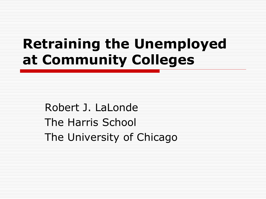## **Retraining the Unemployed at Community Colleges**

Robert J. LaLonde The Harris School The University of Chicago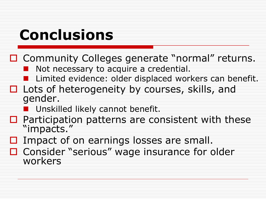# **Conclusions**

- □ Community Colleges generate "normal" returns.
	- Not necessary to acquire a credential.
	- **Limited evidence: older displaced workers can benefit.**
- $\Box$  Lots of heterogeneity by courses, skills, and gender.
	- **Unskilled likely cannot benefit.**
- $\Box$  Participation patterns are consistent with these "impacts."
- $\Box$  Impact of on earnings losses are small.
- Consider "serious" wage insurance for older workers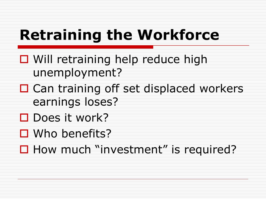# **Retraining the Workforce**

- **□** Will retraining help reduce high unemployment?
- □ Can training off set displaced workers earnings loses?
- $\Box$  Does it work?
- Who benefits?

 $\Box$  How much "investment" is required?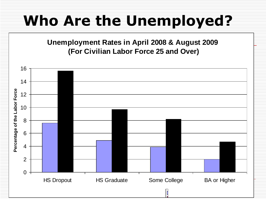## **Who Are the Unemployed?**

**Unemployment Rates in April 2008 & August 2009 (For Civilian Labor Force 25 and Over)**

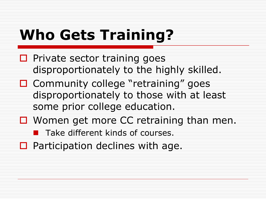# **Who Gets Training?**

- $\square$  Private sector training goes disproportionately to the highly skilled.
- □ Community college "retraining" goes disproportionately to those with at least some prior college education.
- $\Box$  Women get more CC retraining than men.
	- **Take different kinds of courses.**
- $\Box$  Participation declines with age.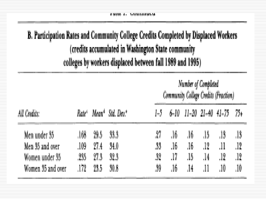| a marat a c |  |
|-------------|--|
|-------------|--|

B. Participation Rates and Community College Credits Completed by Displaced Workers (credits accumulated in Washington State community colleges by workers displaced between fall 1989 and 1995)

|                   |          |      |                                                            | Number of Completed<br>Community College Credits (Fraction) |     |                        |     |     |         |
|-------------------|----------|------|------------------------------------------------------------|-------------------------------------------------------------|-----|------------------------|-----|-----|---------|
| All Credits:      |          |      | Rate <sup>4</sup> Mean <sup>4</sup> Std. Dev. <sup>4</sup> | I-5 .                                                       |     | 6-10 11-20 21-40 41-75 |     |     | - 75+   |
| Men under 35      | .168     | 29.5 | 33.3                                                       | 27                                                          | .16 | J6.                    | -15 | .13 |         |
| Men 35 and over   | ,109     | 27.4 | 34.0                                                       | 33                                                          | .16 | ,16                    | ,12 | .11 | .12     |
| Women under 35    | .235     | 27.3 | 32.3                                                       | .32                                                         | .17 | Лő                     | .14 | ,12 | ,12     |
| Women 35 and over | $.172\,$ | 23.5 | 30.8                                                       | ,89                                                         | .16 | $\frac{14}{2}$         | .11 | .10 | $.10\,$ |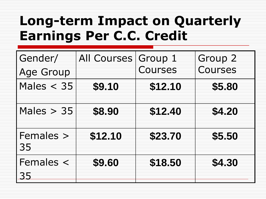#### **Long-term Impact on Quarterly Earnings Per C.C. Credit**

| Gender/<br><b>Age Group</b> | All Courses | Group 1<br>Courses | Group 2<br><b>Courses</b> |
|-----------------------------|-------------|--------------------|---------------------------|
| Males $<$ 35                | \$9.10      | \$12.10            | \$5.80                    |
| Males $> 35$                | \$8.90      | \$12.40            | \$4.20                    |
| Females ><br>35             | \$12.10     | \$23.70            | \$5.50                    |
| Females $\lt$<br>35         | \$9.60      | \$18.50            | \$4.30                    |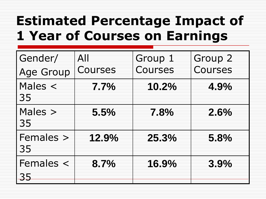### **Estimated Percentage Impact of 1 Year of Courses on Earnings**

| Gender/           | All     | Group 1 | Group 2 |
|-------------------|---------|---------|---------|
| <b>Age Group</b>  | Courses | Courses | Courses |
| Males $\lt$<br>35 | 7.7%    | 10.2%   | 4.9%    |
| Males ><br>35     | 5.5%    | 7.8%    | 2.6%    |
| Females ><br>35   | 12.9%   | 25.3%   | 5.8%    |
| Females $\lt$     | 8.7%    | 16.9%   | 3.9%    |
| 35                |         |         |         |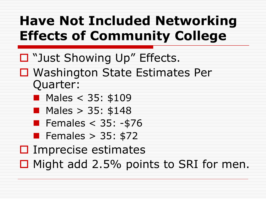## **Have Not Included Networking Effects of Community College**

- "Just Showing Up" Effects.
- □ Washington State Estimates Per Quarter:
	- **Males < 35: \$109**
	- **Males > 35: \$148**
	- Females  $<$  35: -\$76
	- Females  $> 35: $72$
- $\square$  Imprecise estimates
- $\Box$  Might add 2.5% points to SRI for men.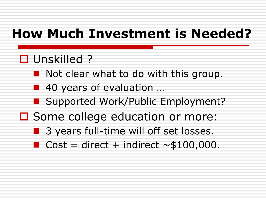#### **How Much Investment is Needed?**

#### □ Unskilled ?

- Not clear what to do with this group.
- 40 years of evaluation ...
- Supported Work/Public Employment?
- □ Some college education or more:
	- **B** 3 years full-time will off set losses.
	- $Cost = direct + indirect \sim $100,000$ .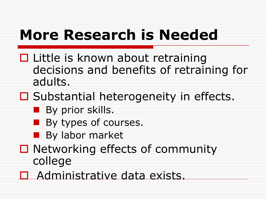# **More Research is Needed**

- $\Box$  Little is known about retraining decisions and benefits of retraining for adults.
- $\Box$  Substantial heterogeneity in effects.
	- **By prior skills.**
	- **By types of courses.**
	- **By labor market**
- $\Box$  Networking effects of community college
- □ Administrative data exists.